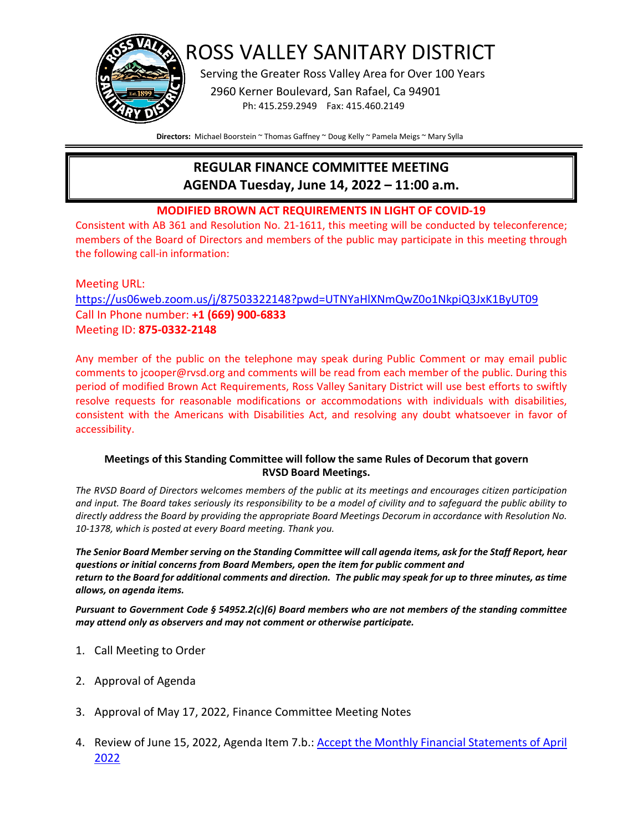

ROSS VALLEY SANITARY DISTRICT

Serving the Greater Ross Valley Area for Over 100 Years

 2960 Kerner Boulevard, San Rafael, Ca 94901 Ph: 415.259.2949 Fax: 415.460.2149

**Directors:** Michael Boorstein ~ Thomas Gaffney ~ Doug Kelly ~ Pamela Meigs ~ Mary Sylla

# **REGULAR FINANCE COMMITTEE MEETING AGENDA Tuesday, June 14, 2022 – 11:00 a.m.**

### **MODIFIED BROWN ACT REQUIREMENTS IN LIGHT OF COVID-19**

Consistent with AB 361 and Resolution No. 21-1611, this meeting will be conducted by teleconference; members of the Board of Directors and members of the public may participate in this meeting through the following call-in information:

# Meeting URL: <https://us06web.zoom.us/j/87503322148?pwd=UTNYaHlXNmQwZ0o1NkpiQ3JxK1ByUT09> Call In Phone number: **+1 (669) 900-6833** Meeting ID: **875-0332-2148**

Any member of the public on the telephone may speak during Public Comment or may email public comments to jcooper@rvsd.org and comments will be read from each member of the public. During this period of modified Brown Act Requirements, Ross Valley Sanitary District will use best efforts to swiftly resolve requests for reasonable modifications or accommodations with individuals with disabilities, consistent with the Americans with Disabilities Act, and resolving any doubt whatsoever in favor of accessibility.

#### **Meetings of this Standing Committee will follow the same Rules of Decorum that govern RVSD Board Meetings.**

*The RVSD Board of Directors welcomes members of the public at its meetings and encourages citizen participation and input. The Board takes seriously its responsibility to be a model of civility and to safeguard the public ability to directly address the Board by providing the appropriate Board Meetings Decorum in accordance with Resolution No. 10-1378, which is posted at every Board meeting. Thank you.*

*The Senior Board Member serving on the Standing Committee will call agenda items, ask for the Staff Report, hear questions or initial concerns from Board Members, open the item for public comment and return to the Board for additional comments and direction. The public may speak for up to three minutes, as time allows, on agenda items.*

*Pursuant to Government Code § 54952.2(c)(6) Board members who are not members of the standing committee may attend only as observers and may not comment or otherwise participate.*

- 1. Call Meeting to Order
- 2. Approval of Agenda
- 3. Approval of May 17, 2022, Finance Committee Meeting Notes
- 4. Review of June 15, 2022, Agenda Item 7.b.: **Accept the Monthly Financial Statements of April** [2022](https://www.rvsd.org/DocumentCenter/View/2564/ITEM-7b)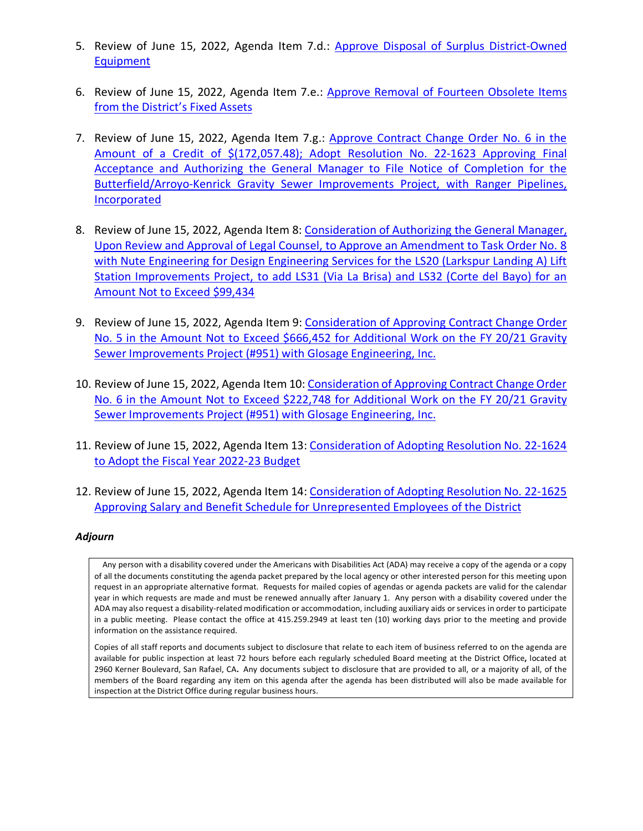- 5. Review of June 15, 2022, Agenda Item 7.d.: [Approve Disposal of Surplus District-Owned](https://www.rvsd.org/DocumentCenter/View/2567/ITEM-7e)  [Equipment](https://www.rvsd.org/DocumentCenter/View/2567/ITEM-7e)
- 6. Review of June 15, 2022, Agenda Item 7.e.: [Approve Removal of Fourteen Obsolete Items](https://www.rvsd.org/DocumentCenter/View/2567/ITEM-7e)  [from the District's Fixed Assets](https://www.rvsd.org/DocumentCenter/View/2567/ITEM-7e)
- 7. Review of June 15, 2022, Agenda Item 7.g.: Approve Contract Change Order No. 6 in the [Amount of a Credit of \\$\(172,057.48\); Adopt Resolution No. 22-1623 Approving Final](https://www.rvsd.org/DocumentCenter/View/2569/ITEM-7g)  [Acceptance and Authorizing the General Manager to File Notice of Completion for the](https://www.rvsd.org/DocumentCenter/View/2569/ITEM-7g)  [Butterfield/Arroyo-Kenrick Gravity Sewer Improvements Project, with Ranger Pipelines,](https://www.rvsd.org/DocumentCenter/View/2569/ITEM-7g)  [Incorporated](https://www.rvsd.org/DocumentCenter/View/2569/ITEM-7g)
- 8. Review of June 15, 2022, Agenda Item 8: Consideration of Authorizing the General Manager, [Upon Review and Approval of Legal Counsel, to Approve an Amendment to Task Order No. 8](https://www.rvsd.org/DocumentCenter/View/2570/ITEM-8)  [with Nute Engineering for Design Engineering Services for the LS20 \(Larkspur Landing A\) Lift](https://www.rvsd.org/DocumentCenter/View/2570/ITEM-8)  [Station Improvements Project, to add LS31 \(Via La Brisa\) and LS32 \(Corte del Bayo\) for an](https://www.rvsd.org/DocumentCenter/View/2570/ITEM-8)  [Amount Not to Exceed \\$99,434](https://www.rvsd.org/DocumentCenter/View/2570/ITEM-8)
- 9. Review of June 15, 2022, Agenda Item 9: Consideration of [Approving Contract Change Order](https://www.rvsd.org/DocumentCenter/View/2571/ITEM-9)  [No. 5 in the Amount Not to Exceed \\$666,452 for Additional Work on the FY 20/21 Gravity](https://www.rvsd.org/DocumentCenter/View/2571/ITEM-9)  [Sewer Improvements Project \(#951\) with Glosage Engineering, Inc.](https://www.rvsd.org/DocumentCenter/View/2571/ITEM-9)
- 10. Review of June 15, 2022, Agenda Item 10: Consideration [of Approving Contract Change Order](https://www.rvsd.org/DocumentCenter/View/2576/ITEM-10)  [No. 6 in the Amount Not to Exceed \\$222,748 for Additional Work on the FY 20/21 Gravity](https://www.rvsd.org/DocumentCenter/View/2576/ITEM-10)  [Sewer Improvements Project \(#951\) with Glosage Engineering, Inc.](https://www.rvsd.org/DocumentCenter/View/2576/ITEM-10)
- 11. Review of June 15, 2022, Agenda Item 13: Consideration of [Adopting Resolution No. 22-1624](https://www.rvsd.org/DocumentCenter/View/2574/ITEM-13)  [to Adopt the Fiscal Year 2022-23 Budget](https://www.rvsd.org/DocumentCenter/View/2574/ITEM-13)
- 12. Review of June 15, 2022, Agenda Item 14: Consideration of [Adopting Resolution No. 22-1625](https://www.rvsd.org/DocumentCenter/View/2575/ITEM-14)  [Approving Salary and Benefit Schedule for Unrepresented Employees of the District](https://www.rvsd.org/DocumentCenter/View/2575/ITEM-14)

#### *Adjourn*

 Any person with a disability covered under the Americans with Disabilities Act (ADA) may receive a copy of the agenda or a copy of all the documents constituting the agenda packet prepared by the local agency or other interested person for this meeting upon request in an appropriate alternative format. Requests for mailed copies of agendas or agenda packets are valid for the calendar year in which requests are made and must be renewed annually after January 1. Any person with a disability covered under the ADA may also request a disability-related modification or accommodation, including auxiliary aids or services in order to participate in a public meeting. Please contact the office at 415.259.2949 at least ten (10) working days prior to the meeting and provide information on the assistance required.

Copies of all staff reports and documents subject to disclosure that relate to each item of business referred to on the agenda are available for public inspection at least 72 hours before each regularly scheduled Board meeting at the District Office**,** located at 2960 Kerner Boulevard, San Rafael, CA**.** Any documents subject to disclosure that are provided to all, or a majority of all, of the members of the Board regarding any item on this agenda after the agenda has been distributed will also be made available for inspection at the District Office during regular business hours.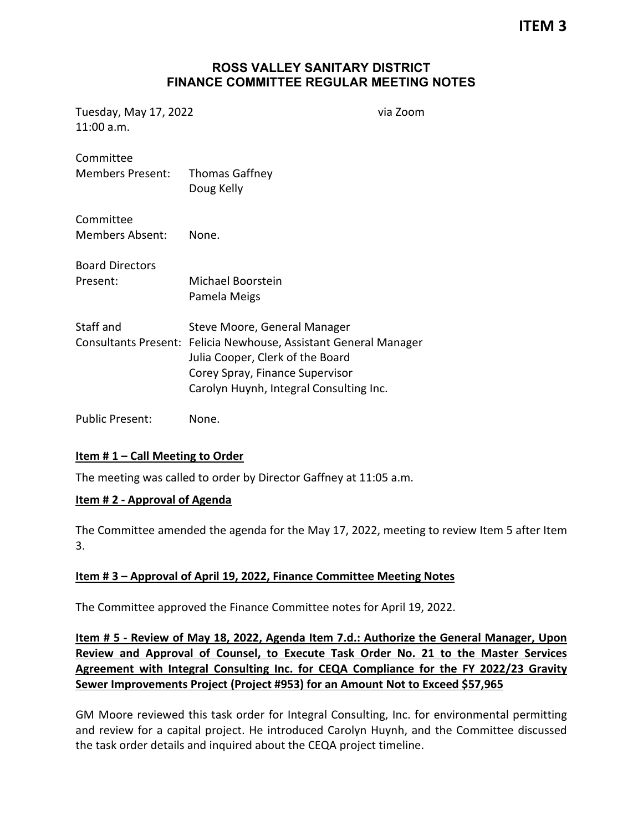**ITEM 3**

## **ROSS VALLEY SANITARY DISTRICT FINANCE COMMITTEE REGULAR MEETING NOTES**

Tuesday, May 17, 2022 via Zoom 11:00 a.m.

| Committee<br><b>Members Present:</b> | <b>Thomas Gaffney</b><br>Doug Kelly                                                                                                                                                                                |
|--------------------------------------|--------------------------------------------------------------------------------------------------------------------------------------------------------------------------------------------------------------------|
| Committee<br><b>Members Absent:</b>  | None.                                                                                                                                                                                                              |
| <b>Board Directors</b><br>Present:   | Michael Boorstein<br>Pamela Meigs                                                                                                                                                                                  |
| Staff and                            | Steve Moore, General Manager<br>Consultants Present: Felicia Newhouse, Assistant General Manager<br>Julia Cooper, Clerk of the Board<br>Corey Spray, Finance Supervisor<br>Carolyn Huynh, Integral Consulting Inc. |
| <b>Public Present:</b>               | None.                                                                                                                                                                                                              |

#### **Item # 1 – Call Meeting to Order**

The meeting was called to order by Director Gaffney at 11:05 a.m.

#### **Item # 2 - Approval of Agenda**

The Committee amended the agenda for the May 17, 2022, meeting to review Item 5 after Item 3.

#### **Item # 3 – Approval of April 19, 2022, Finance Committee Meeting Notes**

The Committee approved the Finance Committee notes for April 19, 2022.

**Item # 5 - Review of May 18, 2022, Agenda Item 7.d.: Authorize the [General Manager, Upon](https://www.rvsd.org/DocumentCenter/View/2554/ITEM-7d)  [Review and Approval of Counsel, to Execute Task Order No. 21 to the Master Services](https://www.rvsd.org/DocumentCenter/View/2554/ITEM-7d)  [Agreement with Integral Consulting Inc. for CEQA Compliance for the FY 2022/23 Gravity](https://www.rvsd.org/DocumentCenter/View/2554/ITEM-7d)  [Sewer Improvements Project \(Project #953\) for an Amount](https://www.rvsd.org/DocumentCenter/View/2554/ITEM-7d) Not to Exceed \$57,965**

GM Moore reviewed this task order for Integral Consulting, Inc. for environmental permitting and review for a capital project. He introduced Carolyn Huynh, and the Committee discussed the task order details and inquired about the CEQA project timeline.